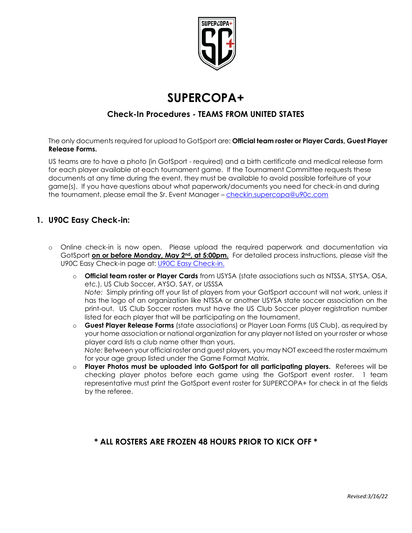

# **SUPERCOPA+**

### **Check-In Procedures - TEAMS FROM UNITED STATES**

The only documents required for upload to GotSport are: **Official team roster or Player Cards, Guest Player Release Forms.**

US teams are to have a photo (in GotSport - required) and a birth certificate and medical release form for each player available at each tournament game. If the Tournament Committee requests these documents at any time during the event, they must be available to avoid possible forfeiture of your game(s). If you have questions about what paperwork/documents you need for check-in and during the tournament, please email the Sr. Event Manager – [checkin.supercopa@u90c.com](mailto:checkin.supercopa@u90c.com) 

#### **1. U90C Easy Check-in:**

- o Online check-in is now open. Please upload the required paperwork and documentation via GotSport **on or before Monday, May 2nd, at 5:00pm.** For detailed process instructions, please visit the U90C Easy Check-in page at: [U90C Easy Check-in.](https://www.u90c.com/u90c-easy-check-in)
	- o **Official team roster or Player Cards** from USYSA (state associations such as NTSSA, STYSA, OSA, etc.), US Club Soccer, AYSO, SAY, or USSSA *Note:* Simply printing off your list of players from your GotSport account will not work, unless it has the logo of an organization like NTSSA or another USYSA state soccer association on the print-out. US Club Soccer rosters must have the US Club Soccer player registration number listed for each player that will be participating on the tournament.
	- o **Guest Player Release Forms** (state associations) or Player Loan Forms (US Club), as required by your home association or national organization for any player not listed on your roster or whose player card lists a club name other than yours. *Note:* Between your official roster and guest players, you may NOT exceed the roster maximum for your age group listed under the Game Format Matrix.
	- o **Player Photos must be uploaded into GotSport for all participating players.** Referees will be checking player photos before each game using the GotSport event roster. 1 team representative must print the GotSport event roster for SUPERCOPA+ for check in at the fields by the referee.

#### **\* ALL ROSTERS ARE FROZEN 48 HOURS PRIOR TO KICK OFF \***